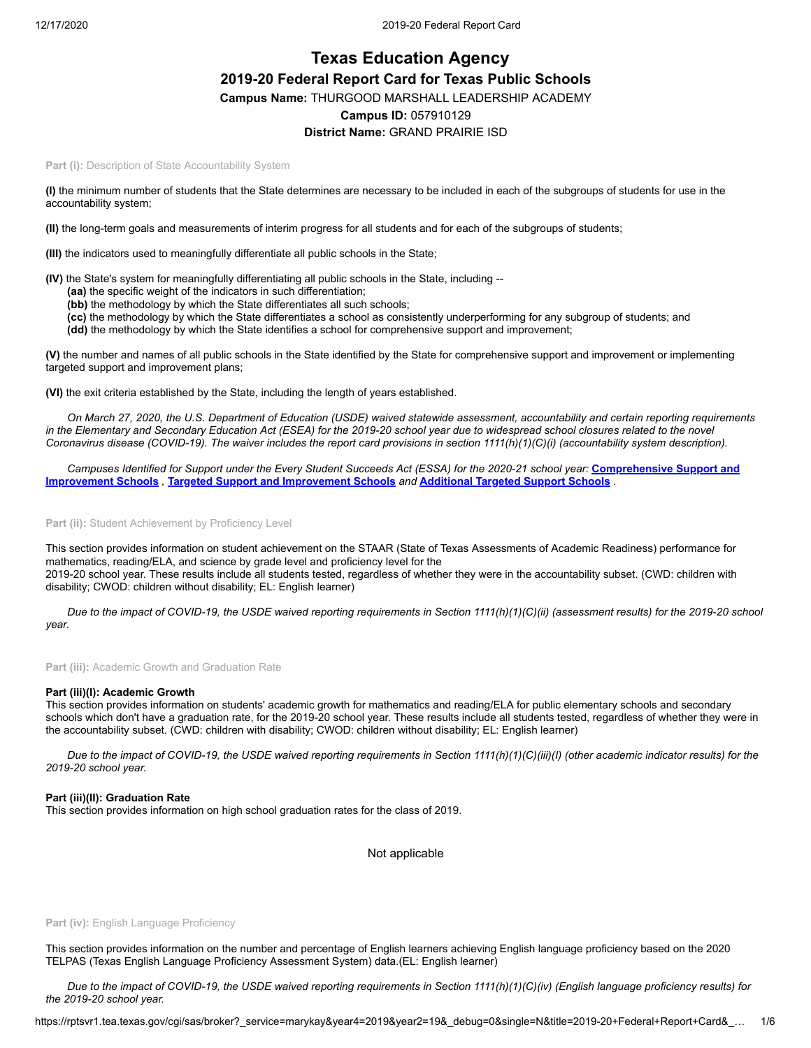# **Texas Education Agency 2019-20 Federal Report Card for Texas Public Schools Campus Name:** THURGOOD MARSHALL LEADERSHIP ACADEMY **Campus ID:** 057910129 **District Name:** GRAND PRAIRIE ISD

Part (i): Description of State Accountability System

**(I)** the minimum number of students that the State determines are necessary to be included in each of the subgroups of students for use in the accountability system;

**(II)** the long-term goals and measurements of interim progress for all students and for each of the subgroups of students;

**(III)** the indicators used to meaningfully differentiate all public schools in the State;

**(IV)** the State's system for meaningfully differentiating all public schools in the State, including --

- **(aa)** the specific weight of the indicators in such differentiation;
- **(bb)** the methodology by which the State differentiates all such schools;
- **(cc)** the methodology by which the State differentiates a school as consistently underperforming for any subgroup of students; and
- **(dd)** the methodology by which the State identifies a school for comprehensive support and improvement;

**(V)** the number and names of all public schools in the State identified by the State for comprehensive support and improvement or implementing targeted support and improvement plans;

**(VI)** the exit criteria established by the State, including the length of years established.

*On March 27, 2020, the U.S. Department of Education (USDE) waived statewide assessment, accountability and certain reporting requirements in the Elementary and Secondary Education Act (ESEA) for the 2019-20 school year due to widespread school closures related to the novel Coronavirus disease (COVID-19). The waiver includes the report card provisions in section 1111(h)(1)(C)(i) (accountability system description).*

*[Campuses Identified for Support under the Every Student Succeeds Act \(ESSA\) for the 2020-21 school year:](https://tea.texas.gov/sites/default/files/comprehensive_support_2020.xlsx)* **Comprehensive Support and Improvement Schools** *,* **[Targeted Support and Improvement Schools](https://tea.texas.gov/sites/default/files/targeted_support_2020.xlsx)** *and* **[Additional Targeted Support Schools](https://tea.texas.gov/sites/default/files/additional_targeted_support_2020.xlsx)** *.*

Part (ii): Student Achievement by Proficiency Level

This section provides information on student achievement on the STAAR (State of Texas Assessments of Academic Readiness) performance for mathematics, reading/ELA, and science by grade level and proficiency level for the 2019-20 school year. These results include all students tested, regardless of whether they were in the accountability subset. (CWD: children with disability; CWOD: children without disability; EL: English learner)

*Due to the impact of COVID-19, the USDE waived reporting requirements in Section 1111(h)(1)(C)(ii) (assessment results) for the 2019-20 school year.*

**Part (iii):** Academic Growth and Graduation Rate

#### **Part (iii)(I): Academic Growth**

This section provides information on students' academic growth for mathematics and reading/ELA for public elementary schools and secondary schools which don't have a graduation rate, for the 2019-20 school year. These results include all students tested, regardless of whether they were in the accountability subset. (CWD: children with disability; CWOD: children without disability; EL: English learner)

*Due to the impact of COVID-19, the USDE waived reporting requirements in Section 1111(h)(1)(C)(iii)(I) (other academic indicator results) for the 2019-20 school year.*

#### **Part (iii)(II): Graduation Rate**

This section provides information on high school graduation rates for the class of 2019.

Not applicable

#### Part (iv): English Language Proficiency

This section provides information on the number and percentage of English learners achieving English language proficiency based on the 2020 TELPAS (Texas English Language Proficiency Assessment System) data.(EL: English learner)

*Due to the impact of COVID-19, the USDE waived reporting requirements in Section 1111(h)(1)(C)(iv) (English language proficiency results) for the 2019-20 school year.*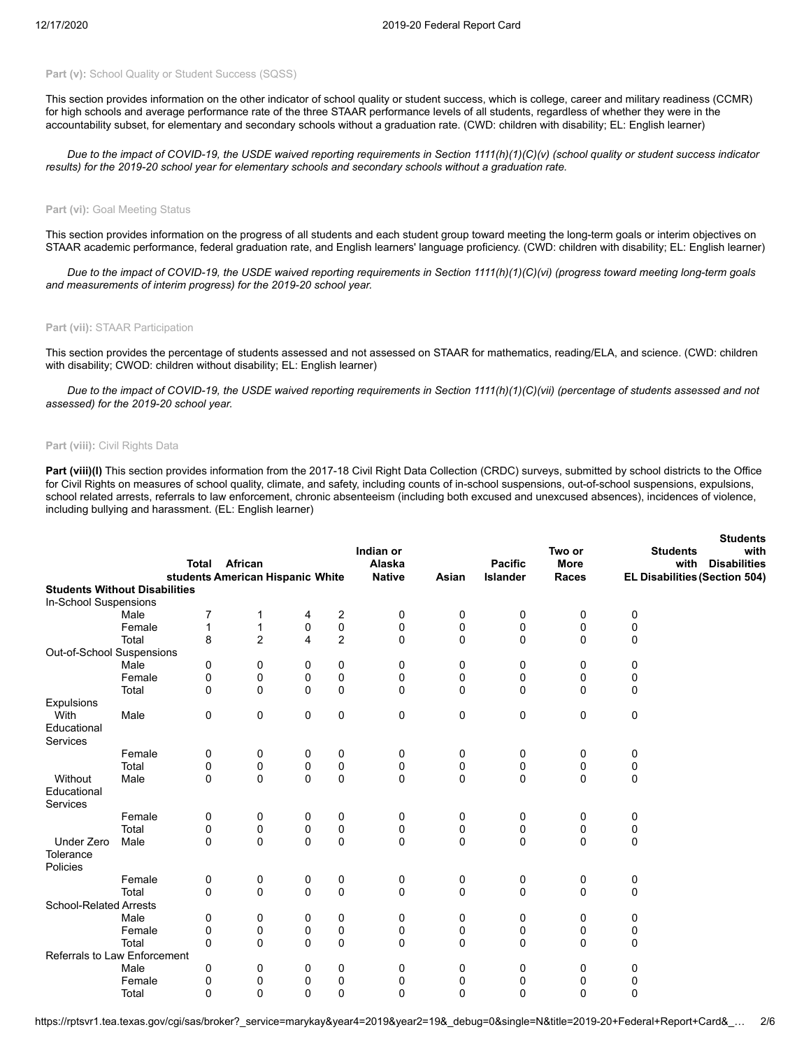#### Part (v): School Quality or Student Success (SQSS)

This section provides information on the other indicator of school quality or student success, which is college, career and military readiness (CCMR) for high schools and average performance rate of the three STAAR performance levels of all students, regardless of whether they were in the accountability subset, for elementary and secondary schools without a graduation rate. (CWD: children with disability; EL: English learner)

*Due to the impact of COVID-19, the USDE waived reporting requirements in Section 1111(h)(1)(C)(v) (school quality or student success indicator results) for the 2019-20 school year for elementary schools and secondary schools without a graduation rate.*

#### Part (vi): Goal Meeting Status

This section provides information on the progress of all students and each student group toward meeting the long-term goals or interim objectives on STAAR academic performance, federal graduation rate, and English learners' language proficiency. (CWD: children with disability; EL: English learner)

*Due to the impact of COVID-19, the USDE waived reporting requirements in Section 1111(h)(1)(C)(vi) (progress toward meeting long-term goals and measurements of interim progress) for the 2019-20 school year.*

#### **Part (vii):** STAAR Participation

This section provides the percentage of students assessed and not assessed on STAAR for mathematics, reading/ELA, and science. (CWD: children with disability; CWOD: children without disability; EL: English learner)

*Due to the impact of COVID-19, the USDE waived reporting requirements in Section 1111(h)(1)(C)(vii) (percentage of students assessed and not assessed) for the 2019-20 school year.*

#### **Part (viii):** Civil Rights Data

Part (viii)(I) This section provides information from the 2017-18 Civil Right Data Collection (CRDC) surveys, submitted by school districts to the Office for Civil Rights on measures of school quality, climate, and safety, including counts of in-school suspensions, out-of-school suspensions, expulsions, school related arrests, referrals to law enforcement, chronic absenteeism (including both excused and unexcused absences), incidences of violence, including bullying and harassment. (EL: English learner)

**Students**

|                                      |        | Total         | African                          |               |                         | Indian or<br>Alaska |               | <b>Pacific</b> | Two or<br><b>More</b> | <b>Students</b><br>with | oludents<br>with<br><b>Disabilities</b> |
|--------------------------------------|--------|---------------|----------------------------------|---------------|-------------------------|---------------------|---------------|----------------|-----------------------|-------------------------|-----------------------------------------|
| <b>Students Without Disabilities</b> |        |               | students American Hispanic White |               |                         | <b>Native</b>       | Asian         | Islander       | <b>Races</b>          |                         | EL Disabilities (Section 504)           |
|                                      |        |               |                                  |               |                         |                     |               |                |                       |                         |                                         |
| In-School Suspensions                | Male   | 7             |                                  |               | $\overline{\mathbf{c}}$ |                     |               |                |                       |                         |                                         |
|                                      |        |               |                                  | 4             |                         | 0                   | 0             | 0              | 0                     | 0                       |                                         |
|                                      | Female | 1             | 1                                | 0<br>4        | $\pmb{0}$               | 0                   | 0             | 0              | $\mathbf 0$           | 0                       |                                         |
|                                      | Total  | 8             | $\overline{c}$                   |               | $\overline{c}$          | 0                   | $\mathbf 0$   | $\mathbf 0$    | $\mathbf 0$           | 0                       |                                         |
| Out-of-School Suspensions            |        |               |                                  |               |                         |                     |               |                |                       |                         |                                         |
|                                      | Male   | 0             | 0                                | 0             | 0                       | 0                   | 0             | 0              | 0                     | 0                       |                                         |
|                                      | Female | 0             | 0                                | 0             | $\pmb{0}$               | 0                   | 0             | 0              | 0                     | 0                       |                                         |
|                                      | Total  | 0             | $\mathbf 0$                      | $\Omega$      | 0                       | 0                   | 0             | $\mathbf 0$    | $\mathbf 0$           | 0                       |                                         |
| Expulsions                           |        |               |                                  |               |                         |                     |               |                |                       |                         |                                         |
| With                                 | Male   | 0             | 0                                | $\mathbf 0$   | $\mathbf 0$             | 0                   | $\mathbf 0$   | $\mathbf 0$    | $\mathbf 0$           | 0                       |                                         |
| Educational<br>Services              |        |               |                                  |               |                         |                     |               |                |                       |                         |                                         |
|                                      | Female | 0             | 0                                | 0             | 0                       | 0                   | 0             | 0              | 0                     | 0                       |                                         |
|                                      | Total  | 0             | 0                                | 0             | 0                       | 0                   | 0             | 0              | 0                     | 0                       |                                         |
| Without                              | Male   | 0             | $\mathbf 0$                      | $\Omega$      | $\mathbf 0$             | $\Omega$            | $\mathbf 0$   | $\mathbf 0$    | $\mathbf 0$           | 0                       |                                         |
| Educational<br>Services              |        |               |                                  |               |                         |                     |               |                |                       |                         |                                         |
|                                      | Female | 0             | 0                                | 0             | 0                       | 0                   | 0             | 0              | 0                     | 0                       |                                         |
|                                      | Total  | 0             | 0                                | 0             | $\pmb{0}$               | 0                   | 0             | 0              | 0                     | 0                       |                                         |
| <b>Under Zero</b>                    | Male   | 0             | $\mathbf 0$                      | $\Omega$      | $\mathbf{0}$            | $\Omega$            | $\mathbf{0}$  | $\Omega$       | $\Omega$              | $\Omega$                |                                         |
| Tolerance<br>Policies                |        |               |                                  |               |                         |                     |               |                |                       |                         |                                         |
|                                      | Female | 0             | 0                                | 0             | 0                       | 0                   | 0             | 0              | 0                     | 0                       |                                         |
|                                      | Total  | $\Omega$      | 0                                | $\Omega$      | $\mathbf 0$             | $\Omega$            | $\Omega$      | 0              | $\Omega$              | 0                       |                                         |
| <b>School-Related Arrests</b>        |        |               |                                  |               |                         |                     |               |                |                       |                         |                                         |
|                                      | Male   |               |                                  |               |                         |                     |               |                | 0                     |                         |                                         |
|                                      |        | 0             | 0                                | 0             | 0                       | 0                   | 0             | 0              |                       | 0                       |                                         |
|                                      | Female | 0<br>$\Omega$ | 0                                | 0<br>$\Omega$ | 0                       | 0<br>$\Omega$       | 0<br>$\Omega$ | 0              | 0                     | 0                       |                                         |
|                                      | Total  |               | 0                                |               | 0                       |                     |               | 0              | $\mathbf 0$           | 0                       |                                         |
| Referrals to Law Enforcement         |        |               |                                  |               |                         |                     |               |                |                       |                         |                                         |
|                                      | Male   | 0             | 0                                | 0             | 0                       | 0                   | 0             | 0              | 0                     | 0                       |                                         |
|                                      | Female | 0             | 0                                | 0             | 0                       | 0                   | 0             | 0              | 0                     | 0                       |                                         |
|                                      | Total  | 0             | $\mathbf 0$                      | $\Omega$      | $\mathbf 0$             | 0                   | $\mathbf 0$   | 0              | $\mathbf 0$           | 0                       |                                         |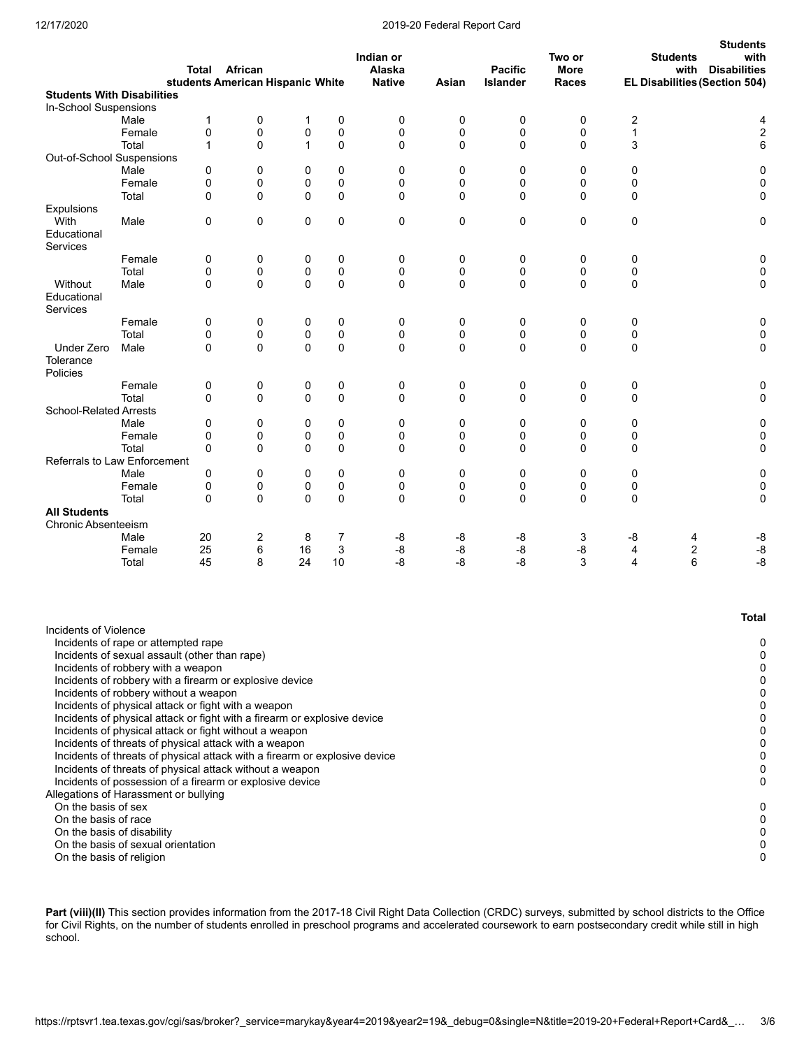#### 12/17/2020 2019-20 Federal Report Card

|                                                                                                               |                                                                                                                                                                                                                                                                                                                                                                                                                                                                                                                                                                                                                                                                                            | Total<br>students American Hispanic White | <b>African</b> |          |          | Indian or<br>Alaska<br><b>Native</b> | Asian       | <b>Pacific</b><br>Islander | Two or<br>More<br>Races |                  | <b>Students</b><br>with<br><b>Students</b><br><b>Disabilities</b><br>with<br>EL Disabilities (Section 504) |
|---------------------------------------------------------------------------------------------------------------|--------------------------------------------------------------------------------------------------------------------------------------------------------------------------------------------------------------------------------------------------------------------------------------------------------------------------------------------------------------------------------------------------------------------------------------------------------------------------------------------------------------------------------------------------------------------------------------------------------------------------------------------------------------------------------------------|-------------------------------------------|----------------|----------|----------|--------------------------------------|-------------|----------------------------|-------------------------|------------------|------------------------------------------------------------------------------------------------------------|
|                                                                                                               | <b>Students With Disabilities</b>                                                                                                                                                                                                                                                                                                                                                                                                                                                                                                                                                                                                                                                          |                                           |                |          |          |                                      |             |                            |                         |                  |                                                                                                            |
| In-School Suspensions                                                                                         |                                                                                                                                                                                                                                                                                                                                                                                                                                                                                                                                                                                                                                                                                            |                                           |                |          |          |                                      |             |                            |                         |                  |                                                                                                            |
|                                                                                                               | Male                                                                                                                                                                                                                                                                                                                                                                                                                                                                                                                                                                                                                                                                                       | 1                                         | 0              | 1        | 0        | 0                                    | 0           | 0                          | 0                       | $\boldsymbol{2}$ | 4                                                                                                          |
|                                                                                                               | Female                                                                                                                                                                                                                                                                                                                                                                                                                                                                                                                                                                                                                                                                                     | 0                                         | $\mathbf 0$    | 0        | 0        | 0                                    | 0           | 0                          | $\mathbf 0$             | 1                | 2                                                                                                          |
|                                                                                                               | Total                                                                                                                                                                                                                                                                                                                                                                                                                                                                                                                                                                                                                                                                                      | $\mathbf{1}$                              | 0              | 1        | 0        | 0                                    | 0           | 0                          | 0                       | 3                | 6                                                                                                          |
| Out-of-School Suspensions                                                                                     |                                                                                                                                                                                                                                                                                                                                                                                                                                                                                                                                                                                                                                                                                            |                                           |                |          |          |                                      |             |                            |                         |                  |                                                                                                            |
|                                                                                                               | Male                                                                                                                                                                                                                                                                                                                                                                                                                                                                                                                                                                                                                                                                                       | 0                                         | 0              | 0        | 0        | 0                                    | 0           | 0                          | 0                       | 0                | 0                                                                                                          |
|                                                                                                               | Female                                                                                                                                                                                                                                                                                                                                                                                                                                                                                                                                                                                                                                                                                     | 0                                         | 0              | 0        | 0        | 0                                    | 0           | 0                          | 0                       | 0                | 0                                                                                                          |
|                                                                                                               | Total                                                                                                                                                                                                                                                                                                                                                                                                                                                                                                                                                                                                                                                                                      | $\mathbf 0$                               | $\mathbf 0$    | $\Omega$ | 0        | 0                                    | $\mathbf 0$ | $\mathbf 0$                | $\mathbf 0$             | 0                | 0                                                                                                          |
| <b>Expulsions</b>                                                                                             |                                                                                                                                                                                                                                                                                                                                                                                                                                                                                                                                                                                                                                                                                            |                                           |                |          |          |                                      |             |                            |                         |                  |                                                                                                            |
| With<br>Educational<br>Services                                                                               | Male                                                                                                                                                                                                                                                                                                                                                                                                                                                                                                                                                                                                                                                                                       | 0                                         | 0              | 0        | 0        | 0                                    | 0           | 0                          | 0                       | 0                | 0                                                                                                          |
|                                                                                                               | Female                                                                                                                                                                                                                                                                                                                                                                                                                                                                                                                                                                                                                                                                                     | 0                                         | 0              | 0        | 0        | 0                                    | 0           | 0                          | 0                       | 0                | 0                                                                                                          |
|                                                                                                               | Total                                                                                                                                                                                                                                                                                                                                                                                                                                                                                                                                                                                                                                                                                      | 0                                         | 0              | 0        | 0        | 0                                    | 0           | 0                          | 0                       | 0                | 0                                                                                                          |
| Without<br>Educational                                                                                        | Male                                                                                                                                                                                                                                                                                                                                                                                                                                                                                                                                                                                                                                                                                       | $\Omega$                                  | $\mathbf 0$    | $\Omega$ | 0        | 0                                    | $\mathbf 0$ | $\mathbf 0$                | $\mathbf 0$             | 0                | 0                                                                                                          |
| <b>Services</b>                                                                                               |                                                                                                                                                                                                                                                                                                                                                                                                                                                                                                                                                                                                                                                                                            |                                           |                |          |          |                                      |             |                            |                         |                  |                                                                                                            |
|                                                                                                               | Female<br>Total                                                                                                                                                                                                                                                                                                                                                                                                                                                                                                                                                                                                                                                                            | 0<br>0                                    | 0<br>0         | 0<br>0   | 0<br>0   | 0<br>0                               | 0<br>0      | 0<br>0                     | 0<br>0                  | 0<br>0           | 0<br>0                                                                                                     |
| <b>Under Zero</b>                                                                                             | Male                                                                                                                                                                                                                                                                                                                                                                                                                                                                                                                                                                                                                                                                                       | $\Omega$                                  | $\Omega$       | $\Omega$ | $\Omega$ | 0                                    | $\mathbf 0$ | $\Omega$                   | $\mathbf 0$             | 0                | 0                                                                                                          |
| Tolerance<br>Policies                                                                                         |                                                                                                                                                                                                                                                                                                                                                                                                                                                                                                                                                                                                                                                                                            |                                           |                |          |          |                                      |             |                            |                         |                  |                                                                                                            |
|                                                                                                               | Female                                                                                                                                                                                                                                                                                                                                                                                                                                                                                                                                                                                                                                                                                     | 0                                         | 0              | 0        | 0        | 0                                    | 0           | 0                          | 0                       | 0                | 0                                                                                                          |
|                                                                                                               | Total                                                                                                                                                                                                                                                                                                                                                                                                                                                                                                                                                                                                                                                                                      | 0                                         | 0              | 0        | 0        | 0                                    | 0           | 0                          | 0                       | 0                | 0                                                                                                          |
| <b>School-Related Arrests</b>                                                                                 |                                                                                                                                                                                                                                                                                                                                                                                                                                                                                                                                                                                                                                                                                            |                                           |                |          |          |                                      |             |                            |                         |                  |                                                                                                            |
|                                                                                                               | Male                                                                                                                                                                                                                                                                                                                                                                                                                                                                                                                                                                                                                                                                                       | 0                                         | 0              | 0        | 0        | 0                                    | 0           | 0                          | 0                       | 0                | 0                                                                                                          |
|                                                                                                               | Female                                                                                                                                                                                                                                                                                                                                                                                                                                                                                                                                                                                                                                                                                     | 0                                         | 0              | 0        | 0        | 0                                    | 0           | 0                          | 0                       | 0                | 0                                                                                                          |
|                                                                                                               | Total                                                                                                                                                                                                                                                                                                                                                                                                                                                                                                                                                                                                                                                                                      | 0                                         | $\mathbf 0$    | $\Omega$ | 0        | 0                                    | 0           | $\mathbf 0$                | $\mathbf 0$             | 0                | 0                                                                                                          |
|                                                                                                               | Referrals to Law Enforcement                                                                                                                                                                                                                                                                                                                                                                                                                                                                                                                                                                                                                                                               |                                           |                |          |          |                                      |             |                            |                         |                  |                                                                                                            |
|                                                                                                               | Male                                                                                                                                                                                                                                                                                                                                                                                                                                                                                                                                                                                                                                                                                       | 0                                         | 0              | 0        | 0        | 0                                    | 0           | 0                          | $\mathbf 0$             | 0                | 0                                                                                                          |
|                                                                                                               | Female                                                                                                                                                                                                                                                                                                                                                                                                                                                                                                                                                                                                                                                                                     | 0                                         | 0              | 0        | 0        | 0                                    | 0           | 0                          | 0                       | 0                | 0                                                                                                          |
|                                                                                                               | Total                                                                                                                                                                                                                                                                                                                                                                                                                                                                                                                                                                                                                                                                                      | $\mathbf 0$                               | $\mathbf 0$    | $\Omega$ | 0        | 0                                    | $\mathbf 0$ | 0                          | $\mathbf 0$             | 0                | 0                                                                                                          |
| <b>All Students</b>                                                                                           |                                                                                                                                                                                                                                                                                                                                                                                                                                                                                                                                                                                                                                                                                            |                                           |                |          |          |                                      |             |                            |                         |                  |                                                                                                            |
| <b>Chronic Absenteeism</b>                                                                                    |                                                                                                                                                                                                                                                                                                                                                                                                                                                                                                                                                                                                                                                                                            |                                           |                |          |          |                                      |             |                            |                         |                  |                                                                                                            |
|                                                                                                               | Male<br>Female                                                                                                                                                                                                                                                                                                                                                                                                                                                                                                                                                                                                                                                                             | 20                                        | $\overline{2}$ | 8<br>16  | 7        | -8                                   | -8          | -8                         | 3                       | -8               | -8<br>4<br>$-8$                                                                                            |
|                                                                                                               | Total                                                                                                                                                                                                                                                                                                                                                                                                                                                                                                                                                                                                                                                                                      | 25<br>45                                  | 6<br>8         | 24       | 3<br>10  | $\mbox{-}8$<br>-8                    | -8<br>-8    | -8<br>-8                   | -8<br>3                 | 4<br>4           | 2<br>6<br>$-8$                                                                                             |
|                                                                                                               |                                                                                                                                                                                                                                                                                                                                                                                                                                                                                                                                                                                                                                                                                            |                                           |                |          |          |                                      |             |                            |                         |                  |                                                                                                            |
|                                                                                                               |                                                                                                                                                                                                                                                                                                                                                                                                                                                                                                                                                                                                                                                                                            |                                           |                |          |          |                                      |             |                            |                         |                  | Total                                                                                                      |
| Incidents of Violence<br>Allegations of Harassment or bullying<br>On the basis of sex<br>On the basis of race | Incidents of rape or attempted rape<br>Incidents of sexual assault (other than rape)<br>Incidents of robbery with a weapon<br>Incidents of robbery with a firearm or explosive device<br>Incidents of robbery without a weapon<br>Incidents of physical attack or fight with a weapon<br>Incidents of physical attack or fight with a firearm or explosive device<br>Incidents of physical attack or fight without a weapon<br>Incidents of threats of physical attack with a weapon<br>Incidents of threats of physical attack with a firearm or explosive device<br>Incidents of threats of physical attack without a weapon<br>Incidents of possession of a firearm or explosive device |                                           |                |          |          |                                      |             |                            |                         |                  | 0<br>0<br>0<br>0<br>0<br>0<br>0<br>0<br>0<br>0<br>0<br>0<br>0<br>0                                         |
| On the basis of religion                                                                                      | On the basis of disability<br>On the basis of sexual orientation                                                                                                                                                                                                                                                                                                                                                                                                                                                                                                                                                                                                                           |                                           |                |          |          |                                      |             |                            |                         |                  | 0<br>0<br>0                                                                                                |

Part (viii)(II) This section provides information from the 2017-18 Civil Right Data Collection (CRDC) surveys, submitted by school districts to the Office for Civil Rights, on the number of students enrolled in preschool programs and accelerated coursework to earn postsecondary credit while still in high school.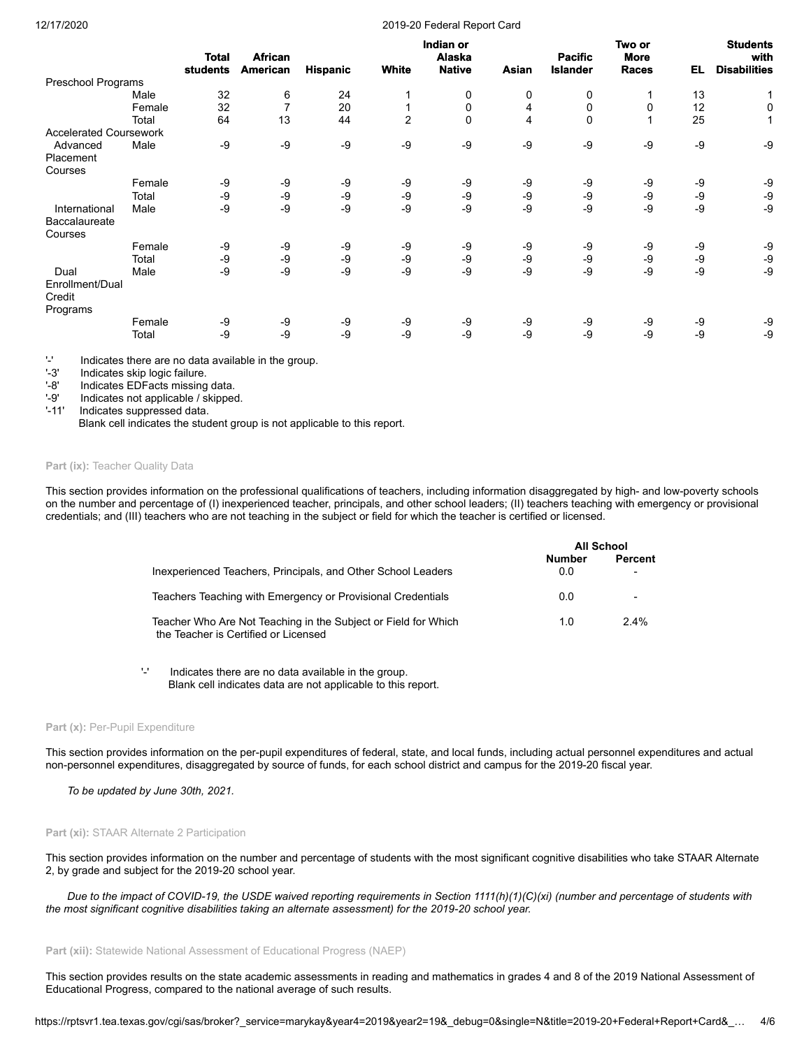#### 12/17/2020 2019-20 Federal Report Card

|                               |        |                          |                            |                 |                | Indian or                      |       |                                   | Two or                      |      | <b>Students</b>             |
|-------------------------------|--------|--------------------------|----------------------------|-----------------|----------------|--------------------------------|-------|-----------------------------------|-----------------------------|------|-----------------------------|
|                               |        | <b>Total</b><br>students | <b>African</b><br>American | <b>Hispanic</b> | White          | <b>Alaska</b><br><b>Native</b> | Asian | <b>Pacific</b><br><b>Islander</b> | <b>More</b><br><b>Races</b> | EL.  | with<br><b>Disabilities</b> |
| Preschool Programs            |        |                          |                            |                 |                |                                |       |                                   |                             |      |                             |
|                               | Male   | 32                       | 6                          | 24              |                | 0                              | 0     | 0                                 |                             | 13   |                             |
|                               | Female | 32                       | $\overline{7}$             | 20              |                | 0                              | 4     | 0                                 | 0                           | 12   | 0                           |
|                               | Total  | 64                       | 13                         | 44              | $\overline{2}$ | $\mathbf 0$                    | 4     | $\mathbf 0$                       |                             | 25   | 1                           |
| <b>Accelerated Coursework</b> |        |                          |                            |                 |                |                                |       |                                   |                             |      |                             |
| Advanced                      | Male   | -9                       | -9                         | -9              | -9             | -9                             | -9    | -9                                | -9                          | $-9$ | -9                          |
| Placement                     |        |                          |                            |                 |                |                                |       |                                   |                             |      |                             |
| Courses                       |        |                          |                            |                 |                |                                |       |                                   |                             |      |                             |
|                               | Female | -9                       | -9                         | -9              | -9             | -9                             | -9    | -9                                | -9                          | -9   | -9                          |
|                               | Total  | -9                       | -9                         | -9              | -9             | $-9$                           | -9    | -9                                | -9                          | -9   | -9                          |
| International                 | Male   | -9                       | -9                         | -9              | -9             | $-9$                           | -9    | -9                                | $-9$                        | $-9$ | -9                          |
| <b>Baccalaureate</b>          |        |                          |                            |                 |                |                                |       |                                   |                             |      |                             |
| Courses                       |        |                          |                            |                 |                |                                |       |                                   |                             |      |                             |
|                               | Female | -9                       | -9                         | -9              | -9             | -9                             | -9    | -9                                | -9                          | -9   | -9                          |
|                               | Total  | -9                       | -9                         | -9              | -9             | $-9$                           | -9    | -9                                | $-9$                        | $-9$ | -9                          |
| Dual                          | Male   | $-9$                     | -9                         | -9              | -9             | -9                             | -9    | -9                                | $-9$                        | $-9$ | -9                          |
| Enrollment/Dual               |        |                          |                            |                 |                |                                |       |                                   |                             |      |                             |
| Credit                        |        |                          |                            |                 |                |                                |       |                                   |                             |      |                             |
| Programs                      |        |                          |                            |                 |                |                                |       |                                   |                             |      |                             |
|                               | Female | -9                       | -9                         | -9              | -9             | -9                             | -9    | -9                                | -9                          | -9   | -9                          |
|                               | Total  | -9                       | -9                         | -9              | -9             | $-9$                           | -9    | -9                                | $-9$                        | $-9$ | -9                          |
|                               |        |                          |                            |                 |                |                                |       |                                   |                             |      |                             |

'-' Indicates there are no data available in the group.

'-3' Indicates skip logic failure.<br>'-8' Indicates EDFacts missing

Indicates EDFacts missing data.

'-9' Indicates not applicable / skipped.

'-11' Indicates suppressed data.

Blank cell indicates the student group is not applicable to this report.

## Part (ix): Teacher Quality Data

This section provides information on the professional qualifications of teachers, including information disaggregated by high- and low-poverty schools on the number and percentage of (I) inexperienced teacher, principals, and other school leaders; (II) teachers teaching with emergency or provisional credentials; and (III) teachers who are not teaching in the subject or field for which the teacher is certified or licensed.

|                                                                                                        | All School    |         |  |
|--------------------------------------------------------------------------------------------------------|---------------|---------|--|
| Inexperienced Teachers, Principals, and Other School Leaders                                           | Number<br>0.0 | Percent |  |
| Teachers Teaching with Emergency or Provisional Credentials                                            | 0.0           |         |  |
| Teacher Who Are Not Teaching in the Subject or Field for Which<br>the Teacher is Certified or Licensed | 1.0           | 2.4%    |  |

'-' Indicates there are no data available in the group. Blank cell indicates data are not applicable to this report.

#### Part (x): Per-Pupil Expenditure

This section provides information on the per-pupil expenditures of federal, state, and local funds, including actual personnel expenditures and actual non-personnel expenditures, disaggregated by source of funds, for each school district and campus for the 2019-20 fiscal year.

*To be updated by June 30th, 2021.*

#### **Part (xi):** STAAR Alternate 2 Participation

This section provides information on the number and percentage of students with the most significant cognitive disabilities who take STAAR Alternate 2, by grade and subject for the 2019-20 school year.

*Due to the impact of COVID-19, the USDE waived reporting requirements in Section 1111(h)(1)(C)(xi) (number and percentage of students with the most significant cognitive disabilities taking an alternate assessment) for the 2019-20 school year.*

#### **Part (xii):** Statewide National Assessment of Educational Progress (NAEP)

This section provides results on the state academic assessments in reading and mathematics in grades 4 and 8 of the 2019 National Assessment of Educational Progress, compared to the national average of such results.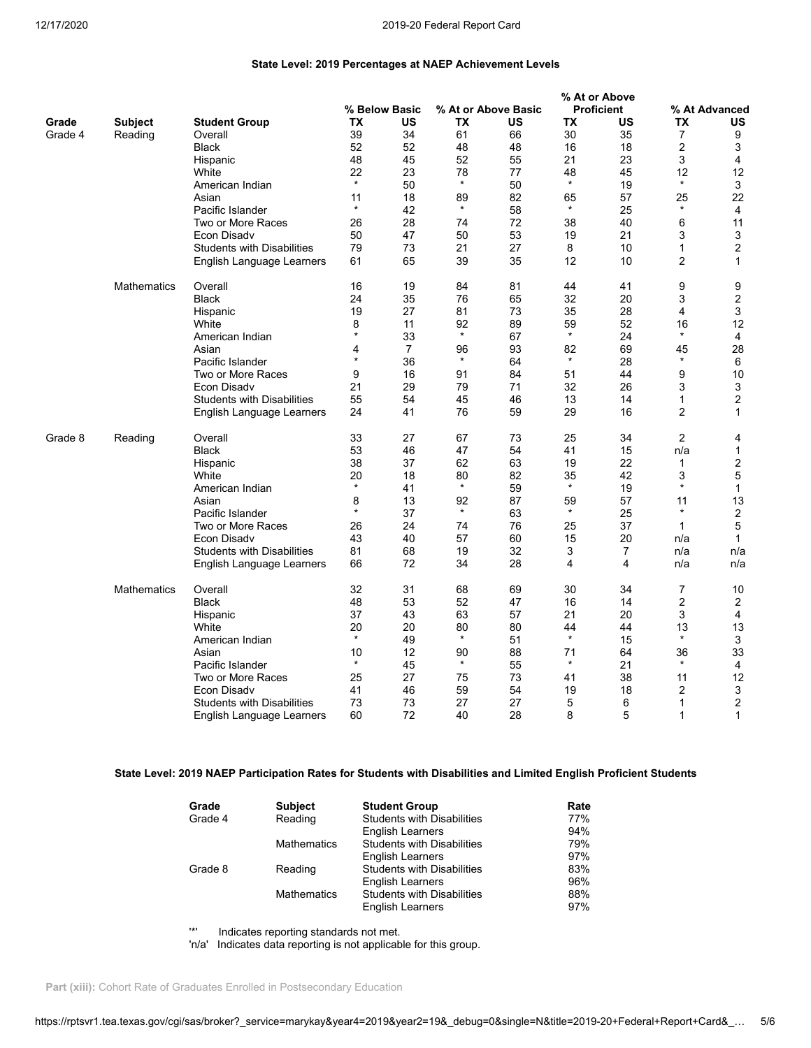**% At or Above**

# **State Level: 2019 Percentages at NAEP Achievement Levels**

|         |                    |                                   |               |                |               |                     |               | % At or Above     |                |                |
|---------|--------------------|-----------------------------------|---------------|----------------|---------------|---------------------|---------------|-------------------|----------------|----------------|
|         |                    |                                   |               | % Below Basic  |               | % At or Above Basic |               | <b>Proficient</b> |                | % At Advanced  |
| Grade   | <b>Subject</b>     | <b>Student Group</b>              | TX            | US             | ТX            | US                  | TX            | US                | ТX             | US             |
| Grade 4 | Reading            | Overall                           | 39            | 34             | 61            | 66                  | 30            | 35                | 7              | 9              |
|         |                    |                                   |               |                |               |                     |               |                   |                |                |
|         |                    | <b>Black</b>                      | 52            | 52             | 48            | 48                  | 16            | 18                | 2              | 3              |
|         |                    | Hispanic                          | 48            | 45             | 52            | 55                  | 21            | 23                | 3              | 4              |
|         |                    | White                             | 22            | 23             | 78            | 77                  | 48            | 45                | 12             | 12             |
|         |                    | American Indian                   | $\star$       | 50             | $\star$       | 50                  | $\star$       | 19                | $\star$        | 3              |
|         |                    | Asian                             | 11            | 18             | 89            | 82                  | 65            | 57                | 25             | 22             |
|         |                    | Pacific Islander                  | $\star$       | 42             | $\star$       | 58                  | $\star$       | 25                | $\star$        | 4              |
|         |                    |                                   |               |                |               |                     |               |                   |                |                |
|         |                    | Two or More Races                 | 26            | 28             | 74            | 72                  | 38            | 40                | 6              | 11             |
|         |                    | Econ Disadv                       | 50            | 47             | 50            | 53                  | 19            | 21                | 3              | 3              |
|         |                    | <b>Students with Disabilities</b> | 79            | 73             | 21            | 27                  | 8             | 10                | 1              | $\overline{2}$ |
|         |                    | English Language Learners         | 61            | 65             | 39            | 35                  | 12            | 10                | $\overline{2}$ | $\mathbf{1}$   |
|         | <b>Mathematics</b> | Overall                           | 16            | 19             | 84            | 81                  | 44            | 41                | 9              | 9              |
|         |                    | <b>Black</b>                      | 24            | 35             | 76            | 65                  | 32            | 20                | 3              | $\overline{2}$ |
|         |                    |                                   | 19            | 27             | 81            | 73                  | 35            | 28                | 4              | 3              |
|         |                    | Hispanic                          |               |                |               |                     |               |                   |                |                |
|         |                    | White                             | 8             | 11             | 92            | 89                  | 59<br>$\star$ | 52                | 16<br>$\star$  | 12             |
|         |                    | American Indian                   | $\star$       | 33             | $\star$       | 67                  |               | 24                |                | $\overline{4}$ |
|         |                    | Asian                             | 4             | $\overline{7}$ | 96            | 93                  | 82            | 69                | 45             | 28             |
|         |                    | Pacific Islander                  | $\star$       | 36             | $\star$       | 64                  | $\star$       | 28                | $\star$        | 6              |
|         |                    | Two or More Races                 | 9             | 16             | 91            | 84                  | 51            | 44                | 9              | 10             |
|         |                    | Econ Disady                       | 21            | 29             | 79            | 71                  | 32            | 26                | 3              | 3              |
|         |                    | <b>Students with Disabilities</b> | 55            | 54             | 45            | 46                  | 13            | 14                | $\mathbf{1}$   | 2              |
|         |                    |                                   |               |                |               |                     | 29            | 16                | $\overline{2}$ | $\mathbf{1}$   |
|         |                    | English Language Learners         | 24            | 41             | 76            | 59                  |               |                   |                |                |
| Grade 8 | Reading            | Overall                           | 33            | 27             | 67            | 73                  | 25            | 34                | $\overline{2}$ | 4              |
|         |                    | <b>Black</b>                      | 53            | 46             | 47            | 54                  | 41            | 15                | n/a            | 1              |
|         |                    | Hispanic                          | 38            | 37             | 62            | 63                  | 19            | 22                | 1              | 2              |
|         |                    |                                   |               |                |               |                     |               |                   |                |                |
|         |                    | White                             | 20<br>$\star$ | 18             | 80<br>$\star$ | 82                  | 35<br>$\star$ | 42                | 3<br>$\star$   | 5              |
|         |                    | American Indian                   |               | 41             |               | 59                  |               | 19                |                | $\mathbf{1}$   |
|         |                    | Asian                             | 8             | 13             | 92            | 87                  | 59            | 57                | 11             | 13             |
|         |                    | Pacific Islander                  | $\star$       | 37             | $\star$       | 63                  | $\star$       | 25                | $\star$        | $\overline{2}$ |
|         |                    | Two or More Races                 | 26            | 24             | 74            | 76                  | 25            | 37                | $\mathbf{1}$   | 5              |
|         |                    | Econ Disadv                       | 43            | 40             | 57            | 60                  | 15            | 20                | n/a            | $\mathbf{1}$   |
|         |                    | <b>Students with Disabilities</b> | 81            | 68             | 19            | 32                  | 3             | 7                 | n/a            | n/a            |
|         |                    |                                   |               | 72             |               | 28                  | 4             | 4                 |                | n/a            |
|         |                    | English Language Learners         | 66            |                | 34            |                     |               |                   | n/a            |                |
|         | Mathematics        | Overall                           | 32            | 31             | 68            | 69                  | 30            | 34                | 7              | 10             |
|         |                    | <b>Black</b>                      | 48            | 53             | 52            | 47                  | 16            | 14                | 2              | $\overline{2}$ |
|         |                    | Hispanic                          | 37            | 43             | 63            | 57                  | 21            | 20                | 3              | 4              |
|         |                    | White                             | 20            | 20             | 80            | 80                  | 44            | 44                | 13             | 13             |
|         |                    | American Indian                   | $\star$       | 49             | $\star$       | 51                  | $\star$       | 15                | $\star$        | 3              |
|         |                    | Asian                             | 10            | 12             | 90            | 88                  | 71            | 64                | 36             | 33             |
|         |                    |                                   | $\star$       |                | $\star$       |                     | $\star$       | 21                | $\star$        |                |
|         |                    | Pacific Islander                  |               | 45             |               | 55                  |               |                   |                | 4              |
|         |                    | Two or More Races                 | 25            | 27             | 75            | 73                  | 41            | 38                | 11             | 12             |
|         |                    | Econ Disadv                       | 41            | 46             | 59            | 54                  | 19            | 18                | 2              | 3              |
|         |                    | <b>Students with Disabilities</b> | 73            | 73             | 27            | 27                  | 5             | 6                 | 1              | $\overline{2}$ |
|         |                    | English Language Learners         | 60            | 72             | 40            | 28                  | 8             | 5                 | $\mathbf{1}$   | 1              |

# **State Level: 2019 NAEP Participation Rates for Students with Disabilities and Limited English Proficient Students**

| Grade   | <b>Subject</b>     | <b>Student Group</b>              | Rate |
|---------|--------------------|-----------------------------------|------|
| Grade 4 | Reading            | <b>Students with Disabilities</b> | 77%  |
|         |                    | <b>English Learners</b>           | 94%  |
|         | <b>Mathematics</b> | <b>Students with Disabilities</b> | 79%  |
|         |                    | <b>English Learners</b>           | 97%  |
| Grade 8 | Reading            | <b>Students with Disabilities</b> | 83%  |
|         |                    | <b>English Learners</b>           | 96%  |
|         | <b>Mathematics</b> | <b>Students with Disabilities</b> | 88%  |
|         |                    | <b>English Learners</b>           | 97%  |

'\*' Indicates reporting standards not met.

'n/a' Indicates data reporting is not applicable for this group.